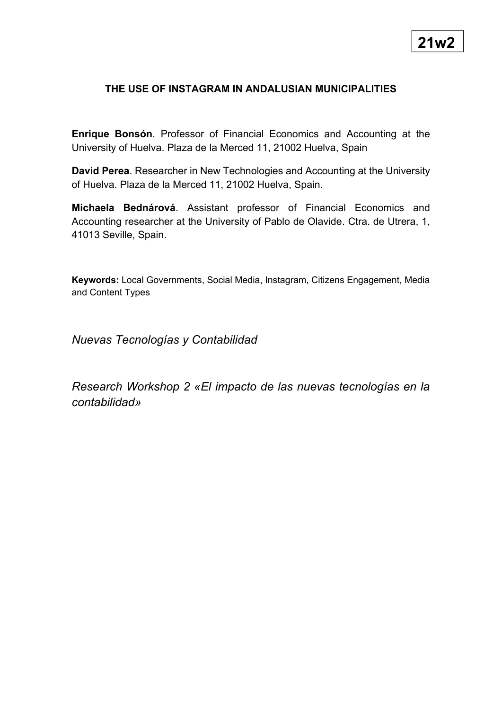## **THE USE OF INSTAGRAM IN ANDALUSIAN MUNICIPALITIES**

**Enrique Bonsón**. Professor of Financial Economics and Accounting at the University of Huelva. Plaza de la Merced 11, 21002 Huelva, Spain

**David Perea**. Researcher in New Technologies and Accounting at the University of Huelva. Plaza de la Merced 11, 21002 Huelva, Spain.

**Michaela Bednárová**. Assistant professor of Financial Economics and Accounting researcher at the University of Pablo de Olavide. Ctra. de Utrera, 1, 41013 Seville, Spain.

**Keywords:** Local Governments, Social Media, Instagram, Citizens Engagement, Media and Content Types

*Nuevas Tecnologías y Contabilidad*

*Research Workshop 2 «El impacto de las nuevas tecnologías en la contabilidad»*